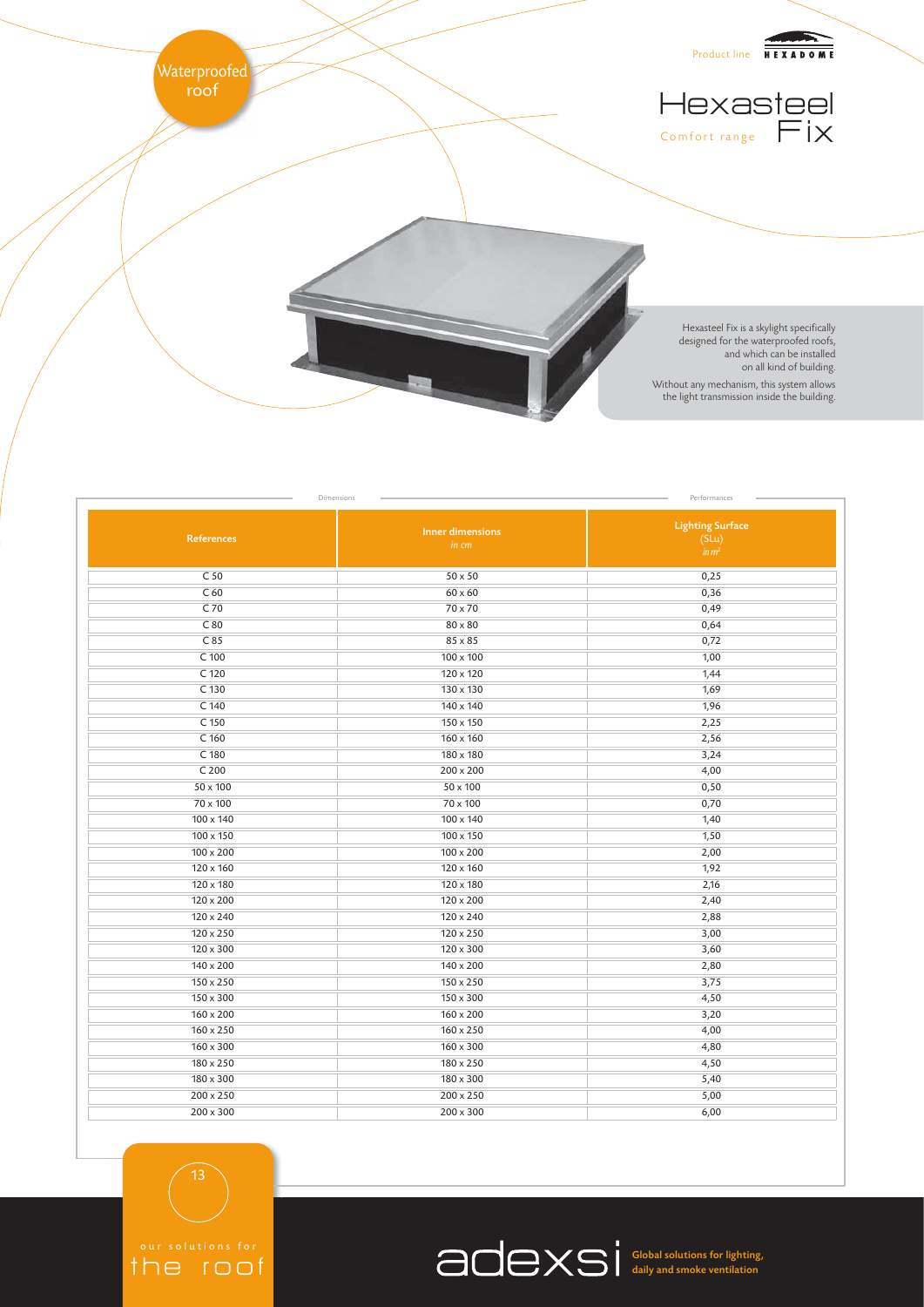

| Dimensions<br>Performances |                                  |                                                       |
|----------------------------|----------------------------------|-------------------------------------------------------|
| References                 | <b>Inner dimensions</b><br>in cm | <b>Lighting Surface</b><br>(SLu)<br>im m <sup>2</sup> |
| C <sub>50</sub>            | $50 \times 50$                   | 0,25                                                  |
| C <sub>60</sub>            | $60 \times 60$                   | 0,36                                                  |
| C 70                       | 70 x 70                          | 0,49                                                  |
| C80                        | 80 x 80                          | 0,64                                                  |
| C85                        | 85 x 85                          | 0,72                                                  |
| $C$ 100                    | $100 \times 100$                 | 1,00                                                  |
| $C$ 120                    | $120 \times 120$                 | 1,44                                                  |
| C 130                      | 130 x 130                        | 1,69                                                  |
| C 140                      | 140 x 140                        | 1,96                                                  |
| C 150                      | 150 x 150                        | 2,25                                                  |
| $C$ 160                    | $160 \times 160$                 | 2,56                                                  |
| C 180                      | 180 x 180                        | 3,24                                                  |
| C <sub>200</sub>           | $200 \times 200$                 | 4,00                                                  |
| 50 x 100                   | 50 x 100                         | 0,50                                                  |
| 70 x 100                   | 70 x 100                         | 0,70                                                  |
| $100 \times 140$           | $100 \times 140$                 | 1,40                                                  |
| $100 \times 150$           | $100 \times 150$                 | 1,50                                                  |
| 100 x 200                  | $100 \times 200$                 | 2,00                                                  |
| 120 x 160                  | 120 x 160                        | 1,92                                                  |
| 120 x 180                  | 120 x 180                        | 2,16                                                  |
| $120 \times 200$           | 120 x 200                        | 2,40                                                  |
| $120 \times 240$           | $120 \times 240$                 | 2,88                                                  |
| $120 \times 250$           | $120 \times 250$                 | 3,00                                                  |
| 120 x 300                  | $120 \times 300$                 | 3,60                                                  |
| $140 \times 200$           | $140 \times 200$                 | 2,80                                                  |
| $150 \times 250$           | $150 \times 250$                 | 3,75                                                  |
| $150 \times 300$           | 150 x 300                        | 4,50                                                  |
| $160 \times 200$           | $160 \times 200$                 | 3,20                                                  |
| 160 x 250                  | $160 \times 250$                 | 4,00                                                  |
| $160 \times 300$           | $160 \times 300$                 | 4,80                                                  |
| 180 x 250                  | 180 x 250                        | 4,50                                                  |
| 180 x 300                  | 180 x 300                        | 5,40                                                  |
| $200 \times 250$           | $200 \times 250$                 | 5,00                                                  |
| $200 \times 300$           | $200 \times 300$                 | 6,00                                                  |

the roof

13

Global solutions for lighting, daily and smoke ventilation